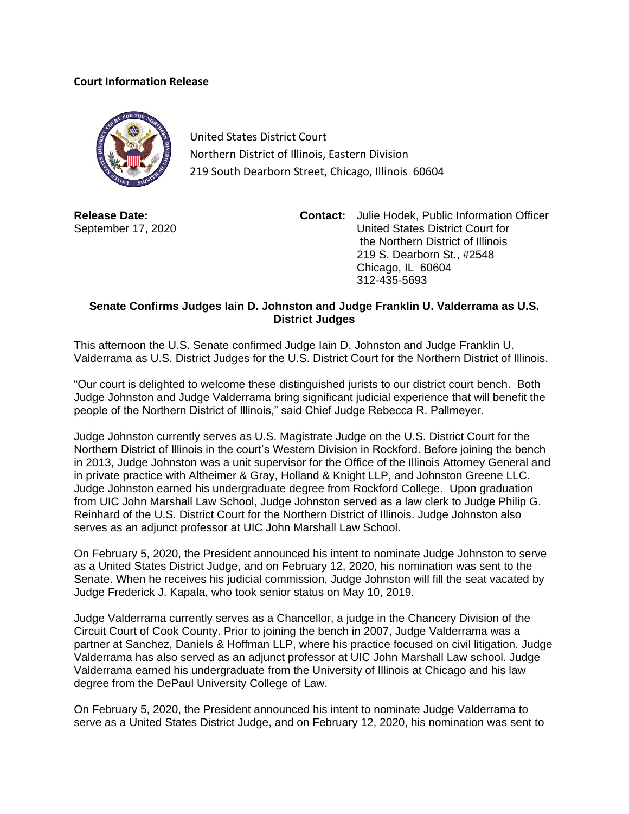## **Court Information Release**



United States District Court Northern District of Illinois, Eastern Division 219 South Dearborn Street, Chicago, Illinois 60604

**Release Date:** September 17, 2020 **Contact:** Julie Hodek, Public Information Officer United States District Court for the Northern District of Illinois 219 S. Dearborn St., #2548 Chicago, IL 60604 312-435-5693

## **Senate Confirms Judges Iain D. Johnston and Judge Franklin U. Valderrama as U.S. District Judges**

This afternoon the U.S. Senate confirmed Judge Iain D. Johnston and Judge Franklin U. Valderrama as U.S. District Judges for the U.S. District Court for the Northern District of Illinois.

"Our court is delighted to welcome these distinguished jurists to our district court bench. Both Judge Johnston and Judge Valderrama bring significant judicial experience that will benefit the people of the Northern District of Illinois," said Chief Judge Rebecca R. Pallmeyer.

Judge Johnston currently serves as U.S. Magistrate Judge on the U.S. District Court for the Northern District of Illinois in the court's Western Division in Rockford. Before joining the bench in 2013, Judge Johnston was a unit supervisor for the Office of the Illinois Attorney General and in private practice with Altheimer & Gray, Holland & Knight LLP, and Johnston Greene LLC. Judge Johnston earned his undergraduate degree from Rockford College. Upon graduation from UIC John Marshall Law School, Judge Johnston served as a law clerk to Judge Philip G. Reinhard of the U.S. District Court for the Northern District of Illinois. Judge Johnston also serves as an adjunct professor at UIC John Marshall Law School.

On February 5, 2020, the President announced his intent to nominate Judge Johnston to serve as a United States District Judge, and on February 12, 2020, his nomination was sent to the Senate. When he receives his judicial commission, Judge Johnston will fill the seat vacated by Judge Frederick J. Kapala, who took senior status on May 10, 2019.

Judge Valderrama currently serves as a Chancellor, a judge in the Chancery Division of the Circuit Court of Cook County. Prior to joining the bench in 2007, Judge Valderrama was a partner at Sanchez, Daniels & Hoffman LLP, where his practice focused on civil litigation. Judge Valderrama has also served as an adjunct professor at UIC John Marshall Law school. Judge Valderrama earned his undergraduate from the University of Illinois at Chicago and his law degree from the DePaul University College of Law.

On February 5, 2020, the President announced his intent to nominate Judge Valderrama to serve as a [United States District Judge,](https://en.wikipedia.org/wiki/United_States_federal_judge) and on February 12, 2020, his nomination was sent to